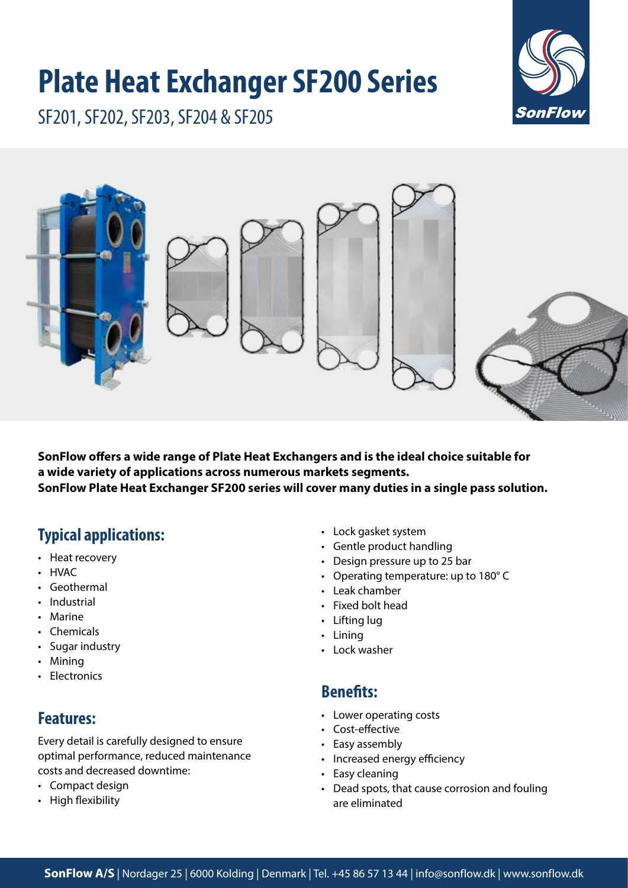# **Plate Heat Exchanger SF200 Series**



SF201, SF202, SF203, SF204 & SF205



**SonFlow offers a wide range of Plate Heat Exchangers and is the ideal choice suitable for a wide variety of applications across numerous markets segments. SonFlow Plate Heat Exchanger SF200 series will cover many duties in a single pass solution.** 

# **Typical applications:**

- Heat recovery
- HVAC
- Geothermal
- Industrial
- Marine
- Chemicals
- Sugar industry
- Mining
- Electronics

# **Features:**

Every detail is carefully designed to ensure optimal performance, reduced maintenance costs and decreased downtime:

- Compact design
- High flexibility
- Lock gasket system
- Gentle product handling
- Design pressure up to 25 bar
- Operating temperature: up to 180° C
- Leak chamber
- Fixed bolt head
- Lifting lug
- Lining
- Lock washer

### **Benefits:**

- Lower operating costs
- Cost-effective
- Easy assembly
- Increased energy efficiency
- Easy cleaning
- Dead spots, that cause corrosion and fouling are eliminated